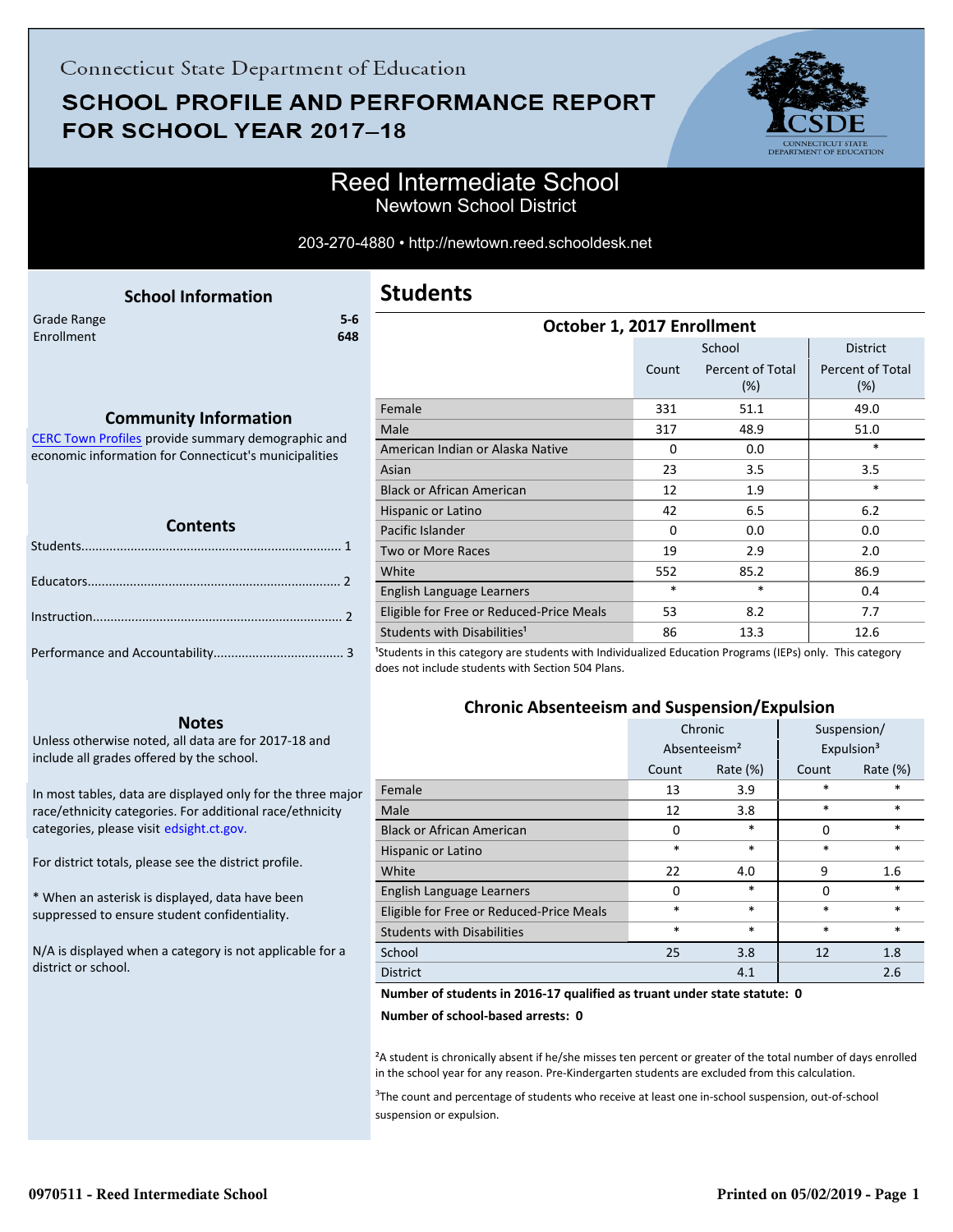# **SCHOOL PROFILE AND PERFORMANCE REPORT** FOR SCHOOL YEAR 2017-18



### Reed Intermediate School Newtown School District

#### 203-270-4880 • http://newtown.reed.schooldesk.net

<span id="page-0-0"></span>

|             | <b>School Information</b> |       |
|-------------|---------------------------|-------|
| Grade Range |                           | $5-6$ |
| Enrollment  |                           | 648   |
|             |                           |       |
|             |                           |       |

#### **Community Information**

[CERC Town Profiles provide summary demographic and](http://www.cerc.com/townprofiles/) economic information for Connecticut's municipalities

#### **Contents**

#### **Notes**

Unless otherwise noted, all data are for 2017-18 and include all grades offered by the school.

[In most tables, data are displayed only for the three major](http://edsight.ct.gov/) race/ethnicity categories. For additional race/ethnicity categories, please visit edsight.ct.gov.

For district totals, please see the district profile.

\* When an asterisk is displayed, data have been suppressed to ensure student confidentiality.

N/A is displayed when a category is not applicable for a district or school.

### **Students**

| October 1, 2017 Enrollment               |          |                            |                            |
|------------------------------------------|----------|----------------------------|----------------------------|
|                                          |          | School                     | <b>District</b>            |
|                                          | Count    | Percent of Total<br>$(\%)$ | Percent of Total<br>$(\%)$ |
| Female                                   | 331      | 51.1                       | 49.0                       |
| Male                                     | 317      | 48.9                       | 51.0                       |
| American Indian or Alaska Native         | $\Omega$ | 0.0                        | *                          |
| Asian                                    | 23       | 3.5                        | 3.5                        |
| <b>Black or African American</b>         | 12       | 1.9                        | $\ast$                     |
| Hispanic or Latino                       | 42       | 6.5                        | 6.2                        |
| Pacific Islander                         | $\Omega$ | 0.0                        | 0.0                        |
| <b>Two or More Races</b>                 | 19       | 2.9                        | 2.0                        |
| White                                    | 552      | 85.2                       | 86.9                       |
| English Language Learners                | $\ast$   | $\ast$                     | 0.4                        |
| Eligible for Free or Reduced-Price Meals | 53       | 8.2                        | 7.7                        |
| Students with Disabilities <sup>1</sup>  | 86       | 13.3                       | 12.6<br>$\lambda$          |

<sup>1</sup>Students in this category are students with Individualized Education Programs (IEPs) only. This category does not include students with Section 504 Plans.

### **Chronic Absenteeism and Suspension/Expulsion**

|                                          | Chronic                  |             |          | Suspension/            |
|------------------------------------------|--------------------------|-------------|----------|------------------------|
|                                          | Absenteeism <sup>2</sup> |             |          | Expulsion <sup>3</sup> |
|                                          | Count                    | Rate $(\%)$ | Count    | Rate $(\%)$            |
| Female                                   | 13                       | 3.9         | *        | $\ast$                 |
| Male                                     | 12                       | 3.8         | *        | $\ast$                 |
| <b>Black or African American</b>         | 0                        | *           | $\Omega$ | $\ast$                 |
| Hispanic or Latino                       | $\ast$                   | $\ast$      | *        | $\ast$                 |
| White                                    | 22                       | 4.0         | 9        | 1.6                    |
| English Language Learners                | $\Omega$                 | $\ast$      | $\Omega$ | $\ast$                 |
| Eligible for Free or Reduced-Price Meals | $\ast$                   | $\ast$      | $\ast$   | $\ast$                 |
| <b>Students with Disabilities</b>        | $\ast$                   | $\ast$      | *        | $\ast$                 |
| School                                   | 25                       | 3.8         | 12       | 1.8                    |
| <b>District</b>                          |                          | 4.1         |          | 2.6                    |

#### **Number of students in 2016-17 qualified as truant under state statute: 0**

**Number of school-based arrests: 0**

<sup>2</sup>A student is chronically absent if he/she misses ten percent or greater of the total number of days enrolled in the school year for any reason. Pre-Kindergarten students are excluded from this calculation.

<sup>3</sup>The count and percentage of students who receive at least one in-school suspension, out-of-school suspension or expulsion.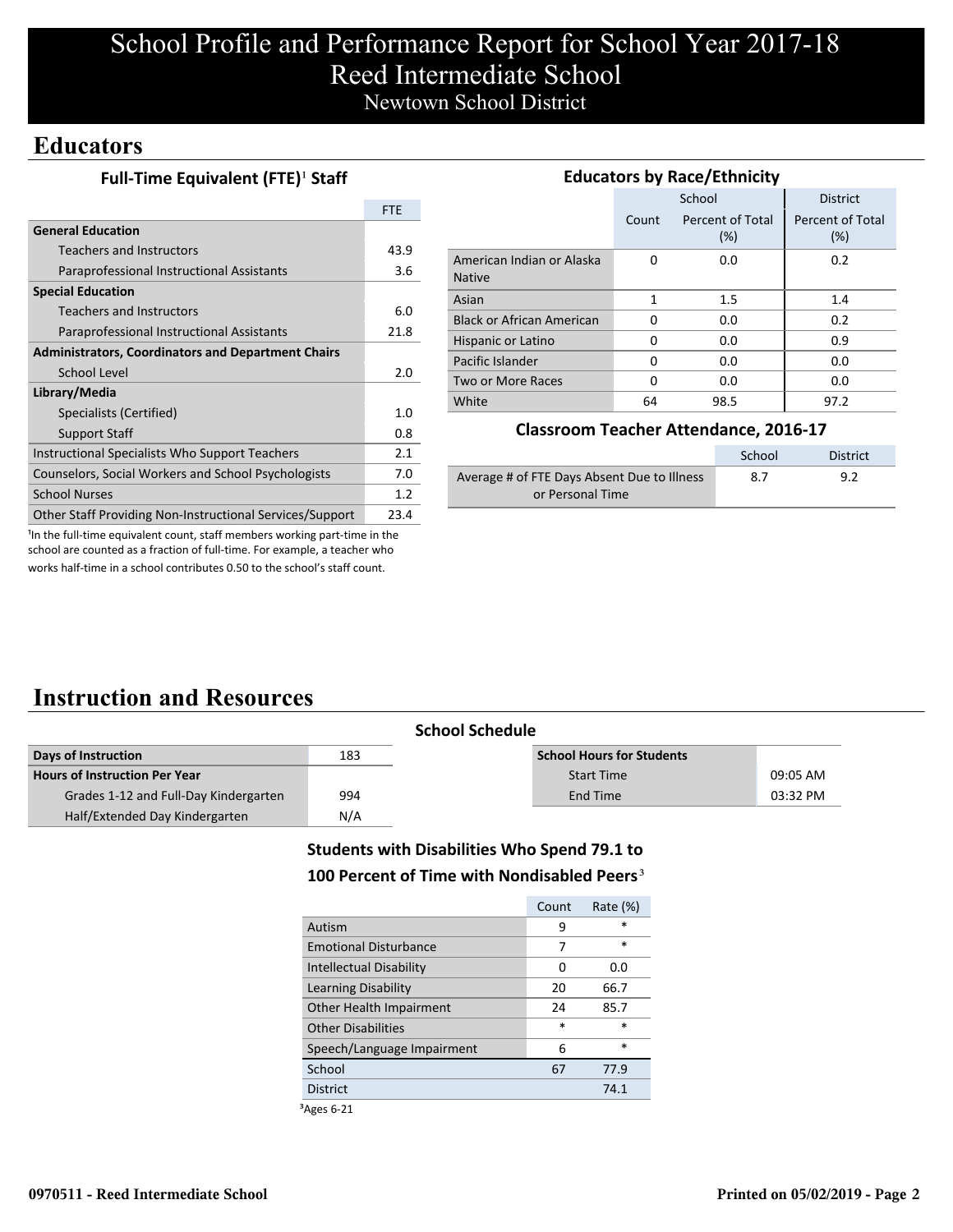# School Profile and Performance Report for School Year 2017-18 Reed Intermediate School Newtown School District

### **Educators**

|  | Full-Time Equivalent (FTE) <sup>1</sup> Staff |  |
|--|-----------------------------------------------|--|
|--|-----------------------------------------------|--|

|                                                           | FTF  |
|-----------------------------------------------------------|------|
| <b>General Education</b>                                  |      |
| Teachers and Instructors                                  | 43.9 |
| Paraprofessional Instructional Assistants                 | 3.6  |
| <b>Special Education</b>                                  |      |
| Teachers and Instructors                                  | 6.0  |
| Paraprofessional Instructional Assistants                 | 21.8 |
| <b>Administrators, Coordinators and Department Chairs</b> |      |
| School Level                                              | 2.0  |
| Library/Media                                             |      |
| Specialists (Certified)                                   | 1.0  |
| Support Staff                                             | 0.8  |
| Instructional Specialists Who Support Teachers            | 2.1  |
| Counselors, Social Workers and School Psychologists       | 7.0  |
| <b>School Nurses</b>                                      | 1.2  |
| Other Staff Providing Non-Instructional Services/Support  | 23.4 |

| <b>Educators by Race/Ethnicity</b>         |       |                         |                         |  |  |
|--------------------------------------------|-------|-------------------------|-------------------------|--|--|
|                                            |       | School                  | <b>District</b>         |  |  |
|                                            | Count | Percent of Total<br>(%) | Percent of Total<br>(%) |  |  |
| American Indian or Alaska<br><b>Native</b> | 0     | 0.0                     | 0.2                     |  |  |
| Asian                                      | 1     | 1.5                     | 1.4                     |  |  |
| <b>Black or African American</b>           | 0     | 0.0                     | 0.2                     |  |  |
| Hispanic or Latino                         | 0     | 0.0                     | 0.9                     |  |  |
| Pacific Islander                           | 0     | 0.0                     | 0.0                     |  |  |
| Two or More Races                          | 0     | 0.0                     | 0.0                     |  |  |
| White                                      | 64    | 98.5                    | 97.2                    |  |  |

### **Classroom Teacher Attendance, 2016-17**

|                                             | School | District |
|---------------------------------------------|--------|----------|
| Average # of FTE Days Absent Due to Illness | 8.7    | 9.2      |
| or Personal Time                            |        |          |

<sup>1</sup>In the full-time equivalent count, staff members working part-time in the school are counted as a fraction of full-time. For example, a teacher who works half-time in a school contributes 0.50 to the school's staff count.

## **Instruction and Resources**

|                                       | <b>School Schedule</b> |                                  |          |
|---------------------------------------|------------------------|----------------------------------|----------|
| Days of Instruction                   | 183                    | <b>School Hours for Students</b> |          |
| <b>Hours of Instruction Per Year</b>  |                        | <b>Start Time</b>                | 09:05 AM |
| Grades 1-12 and Full-Day Kindergarten | 994                    | End Time                         | 03:32 PM |
| Half/Extended Day Kindergarten        | N/A                    |                                  |          |

### **Students with Disabilities Who Spend 79.1 to**

### 100 Percent of Time with Nondisabled Peers<sup>3</sup>

|                              | Count  | Rate $(\%)$ |
|------------------------------|--------|-------------|
| Autism                       | 9      | $\ast$      |
| <b>Emotional Disturbance</b> | 7      | $\ast$      |
| Intellectual Disability      | 0      | 0.0         |
| Learning Disability          | 20     | 66.7        |
| Other Health Impairment      | 24     | 85.7        |
| <b>Other Disabilities</b>    | $\ast$ | $\ast$      |
| Speech/Language Impairment   | 6      | $\ast$      |
| School                       | 67     | 77.9        |
| <b>District</b>              |        | 74.1        |
|                              |        |             |

³Ages 6-21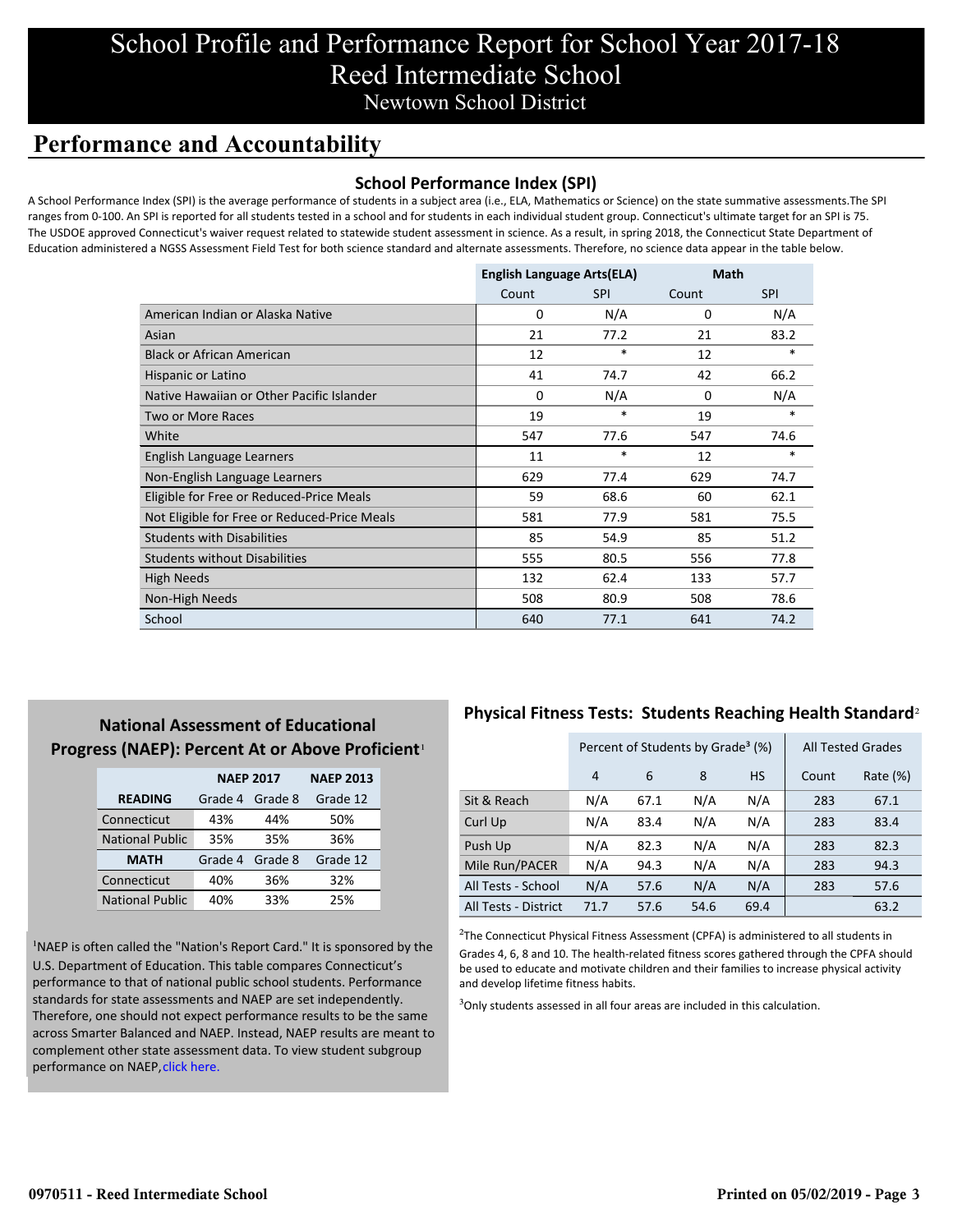# School Profile and Performance Report for School Year 2017-18 Reed Intermediate School Newtown School District

## **Performance and Accountability**

### **School Performance Index (SPI)**

A School Performance Index (SPI) is the average performance of students in a subject area (i.e., ELA, Mathematics or Science) on the state summative assessments.The SPI ranges from 0-100. An SPI is reported for all students tested in a school and for students in each individual student group. Connecticut's ultimate target for an SPI is 75. The USDOE approved Connecticut's waiver request related to statewide student assessment in science. As a result, in spring 2018, the Connecticut State Department of Education administered a NGSS Assessment Field Test for both science standard and alternate assessments. Therefore, no science data appear in the table below.

|                                              | <b>English Language Arts(ELA)</b> |            | Math     |            |
|----------------------------------------------|-----------------------------------|------------|----------|------------|
|                                              | Count                             | <b>SPI</b> | Count    | <b>SPI</b> |
| American Indian or Alaska Native             | 0                                 | N/A        | 0        | N/A        |
| Asian                                        | 21                                | 77.2       | 21       | 83.2       |
| <b>Black or African American</b>             | 12                                | $\ast$     | 12       | $\ast$     |
| Hispanic or Latino                           | 41                                | 74.7       | 42       | 66.2       |
| Native Hawaiian or Other Pacific Islander    | $\Omega$                          | N/A        | $\Omega$ | N/A        |
| Two or More Races                            | 19                                | $\ast$     | 19       | *          |
| White                                        | 547                               | 77.6       | 547      | 74.6       |
| English Language Learners                    | 11                                | $\ast$     | 12       | $\ast$     |
| Non-English Language Learners                | 629                               | 77.4       | 629      | 74.7       |
| Eligible for Free or Reduced-Price Meals     | 59                                | 68.6       | 60       | 62.1       |
| Not Eligible for Free or Reduced-Price Meals | 581                               | 77.9       | 581      | 75.5       |
| <b>Students with Disabilities</b>            | 85                                | 54.9       | 85       | 51.2       |
| <b>Students without Disabilities</b>         | 555                               | 80.5       | 556      | 77.8       |
| High Needs                                   | 132                               | 62.4       | 133      | 57.7       |
| Non-High Needs                               | 508                               | 80.9       | 508      | 78.6       |
| School                                       | 640                               | 77.1       | 641      | 74.2       |

### **National Assessment of Educational** Progress (NAEP): Percent At or Above Proficient<sup>1</sup>

|                        | <b>NAEP 2017</b>   | <b>NAEP 2013</b> |          |
|------------------------|--------------------|------------------|----------|
| <b>READING</b>         | Grade 4<br>Grade 8 |                  | Grade 12 |
| Connecticut            | 43%                | 44%              | 50%      |
| <b>National Public</b> | 35%                | 35%              | 36%      |
| <b>MATH</b>            | Grade 4            | Grade 8          | Grade 12 |
| Connecticut            | 40%                | 36%              | 32%      |
| <b>National Public</b> | 40%                | 33%              | 25%      |

<sup>1</sup>NAEP is often called the "Nation's Report Card." It is sponsored by the U.S. Department of Education. This table compares Connecticut's performance to that of national public school students. Performance standards for state assessments and NAEP are set independently. Therefore, one should not expect performance results to be the same [across Smarter Balanced and NAEP. Instead, NAEP results are meant to](https://portal.ct.gov/-/media/SDE/Student-Assessment/NAEP/report-card_NAEP-2017.pdf?la=en) complement other state assessment data. To view student subgroup performance on NAEP, click here.

### **Physical Fitness Tests: Students Reaching Health Standard**²

|                      | Percent of Students by Grade <sup>3</sup> (%) |      |      |           | <b>All Tested Grades</b> |          |
|----------------------|-----------------------------------------------|------|------|-----------|--------------------------|----------|
|                      | 4                                             | 6    | 8    | <b>HS</b> | Count                    | Rate (%) |
| Sit & Reach          | N/A                                           | 67.1 | N/A  | N/A       | 283                      | 67.1     |
| Curl Up              | N/A                                           | 83.4 | N/A  | N/A       | 283                      | 83.4     |
| Push Up              | N/A                                           | 82.3 | N/A  | N/A       | 283                      | 82.3     |
| Mile Run/PACER       | N/A                                           | 94.3 | N/A  | N/A       | 283                      | 94.3     |
| All Tests - School   | N/A                                           | 57.6 | N/A  | N/A       | 283                      | 57.6     |
| All Tests - District | 71.7                                          | 57.6 | 54.6 | 69.4      |                          | 63.2     |

 $2$ The Connecticut Physical Fitness Assessment (CPFA) is administered to all students in Grades 4, 6, 8 and 10. The health-related fitness scores gathered through the CPFA should be used to educate and motivate children and their families to increase physical activity and develop lifetime fitness habits.

 $3$ Only students assessed in all four areas are included in this calculation.